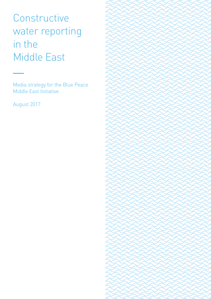Constructive water reporting in the Middle East

Media strategy for the Blue Peace Middle East Initiative

August 2017

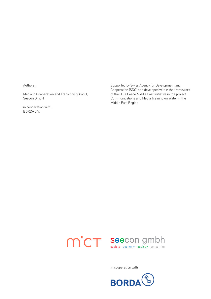Authors:

Media in Cooperation and Transition gGmbH, Seecon GmbH

in cooperation with: BORDA e.V.

Supported by Swiss Agency for Development and Cooperation (SDC) and developed within the framework of the Blue Peace Middle East Initiative in the project Communications and Media Training on Water in the Middle East Region



in cooperation with

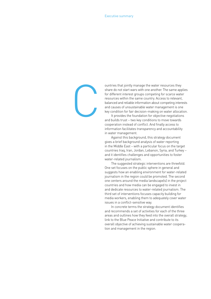C

ountries that jointly manage the water resources they share do not start wars with one another. The same applies for different interest groups competing for scarce water resources within the same country. Access to relevant, balanced and reliable information about competing interests and causes of unsustainable water management is one key condition for fair decision-making on water allocation.

It provides the foundation for objective negotiations and builds trust – two key conditions to move towards cooperation instead of conflict. And finally access to information facilitates transparency and accountability in water management.

Against this background, this strategy document gives a brief background analysis of water reporting in the Middle East – with a particular focus on the target countries Iraq, Iran, Jordan, Lebanon, Syria, and Turkey – and it identifies challenges and opportunities to foster water-related journalism.

The suggested strategic interventions are threefold. One set focuses on the public sphere in general and suggests how an enabling environment for water-related journalism in the region could be promoted. The second one centers around the media landscape(s) in the project countries and how media can be engaged to invest in and dedicate resources to water-related journalism. The third set of interventions focuses capacity building for media workers, enabling them to adequately cover water issues in a conflict-sensitive way.

In concrete terms the strategy document identifies and recommends a set of activities for each of the three areas and outlines how they feed into the overall strategy, link to the Blue Peace Initiative and contribute to its overall objective of achieving sustainable water cooperation and management in the region.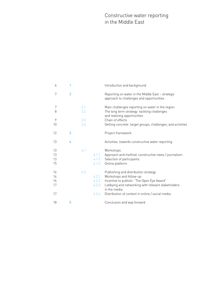## Constructive water reporting in the Middle East

| 6                    | 1              |            |                | Introduction and background                                                                                                                                                               |
|----------------------|----------------|------------|----------------|-------------------------------------------------------------------------------------------------------------------------------------------------------------------------------------------|
| 7                    | $\overline{2}$ |            |                | Reporting on water in the Middle East - strategic<br>approach to challenges and opportunities                                                                                             |
| 7<br>8               |                | 2.1<br>2.2 |                | Main challenges reporting on water in the region<br>The long term strategy: tackling challenges<br>and realizing opportunities                                                            |
| 9<br>10              |                | 2.3<br>2.4 |                | Chain of effects<br>Getting concrete: target groups, challenges, and activities                                                                                                           |
| 12                   | 3              |            |                | Project framework                                                                                                                                                                         |
| 13                   | 4              |            |                | Activities: towards constructive water reporting                                                                                                                                          |
| 13<br>13<br>13<br>15 |                | 4.1        | 4.1.3          | Workshops<br>4.1.1 Approach and method: constructive news / journalism<br>4.1.2 Selection of participants<br>Online platform                                                              |
| 16<br>16<br>16<br>17 |                | 4.2        | 4.2.1<br>4.2.3 | Publishing and distribution strategy<br>Workshops and follow-up<br>4.2.2 Incentive to publish: "The Open Eye Award"<br>Lobbying and networking with relevant stakeholders<br>in the media |
| 17                   |                |            | 4.2.4          | Distribution of content in online / social media                                                                                                                                          |
| 18                   | 5              |            |                | Conclusion and way forward                                                                                                                                                                |
|                      |                |            |                |                                                                                                                                                                                           |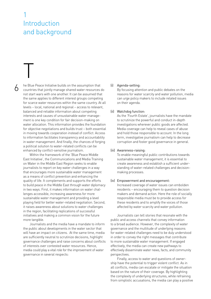# <span id="page-5-0"></span>1 Introduction and background

6

T

he Blue Peace Initiative builds on the assumption that countries that jointly manage shared water resources do not start wars with one another. It can be assumed that the same applies to different interest groups competing for scarce water resources within the same country. At all levels – local, national and regional – access to relevant, balanced and reliable information about competing interests and causes of unsustainable water management is one key condition for fair decision-making on water allocation. This information provides the foundation for objective negotiations and builds trust – both essential in moving towards cooperation instead of conflict. Access to information facilitates transparency and accountability in water management. And finally, the chances of forging a political solution to water-related conflicts can be enhanced by conflict-sensitive journalism.

Within the framework of the 'Blue Peace Middle East Initiative', the Communications and Media Training on Water in the Middle East Region seeks to enable journalists to report on key water challenges in a way that encourages more sustainable water management as a means of conflict prevention and enhancing the quality of life. It complements and supports the efforts to build peace in the Middle East through water diplomacy in two ways. First, it makes information on water challenges accessible, increasing awareness for more sustainable water management and providing a level playing field for better water-related negotiation. Second, it raises awareness about solutions to water challenges in the region, facilitating replications of successful initiatives and making a common vision for the future more tangible.

Journalists and the media have a mandate to inform the public about developments in the water sector that will have an impact on citizens. At the same time, media are sufficiently neutral to scrutinize decisions, highlight governance challenges and raise concerns about conflicts of interests over contested water resources. Hence, media could play a vital role for the improvement of water governance in several respects:

#### (i) Agenda-setting:

By focusing attention and public debates on the reasons for water scarcity and water pollution, media can urge policy makers to include related issues on their agenda.

#### (ii) Watchdog function:

As the 'Fourth Estate', journalists have the mandate to scrutinize the powerful and conduct in-depth investigations wherever public goods are affected. Media coverage can help to reveal cases of abuse and hold those responsible to account. In the long term, investigative journalism can help to decrease corruption and foster good governance in general.

#### (iii) Awareness-raising:

To enable meaningful public contributions towards sustainable water management, it is essential to create awareness and establish a sufficient understanding of water-related challenges and decisionmaking processes.

#### (iv) Empowerment and encouragement:

Increased coverage of water issues can embolden residents – encouraging them to question decision makers and demand action. Here the role of socially responsible media must be to provide access for these residents and to amplify the voices of those affected by water scarcity and water pollution.

Journalists can tell stories that resonate with the public and access channels that convey information to a broad audience. However, the complexity of water governance and the multitude of underlying reasons for water-related challenges need to be duly understood in order to convey the right messages that contribute to more sustainable water management. If engaged effectively, the media can create new pathways to effectively disseminate water news, facts, and community perspectives.

Finally, access to water and questions of ownership have the potential to trigger violent conflict. As in all conflicts, media can escalate or mitigate the situation based on the nature of their coverage. By highlighting the complexity of underlying structures, while refraining from simplistic accusations, the media can play a positive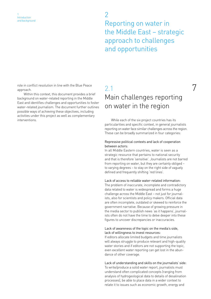2 Reporting on water in the Middle East – strategic approach to challenges and opportunities

<span id="page-6-0"></span>7 role in conflict resolution in line with the Blue Peace approach.

Within this context, this document provides a brief background on water-related reporting in the Middle East and identifies challenges and opportunities to foster water-related journalism. The document further outlines possible ways of achieving these objectives, including activities under this project as well as complementary interventions.

# 2.1 Main challenges reporting on water in the region

While each of the six project countries has its particularities and specific context, in general journalists reporting on water face similar challenges across the region. These can be broadly summarized in four categories:

#### Repressive political contexts and lack of cooperation between actors:

In all Middle Eastern countries, water is seen as a strategic resource that pertains to national security and that is therefore 'sensitive'. Journalists are not barred from reporting on water, but they are certainly obliged – to varying degrees – to stay on the right side of vaguely defined and frequently shifting 'red lines'.

#### Lack of access to reliable water-related information:

The problem of inaccurate, incomplete and contradictory data related to water is widespread and forms a huge challenge across the Middle East – not just for journalists, also for scientists and policy makers. Official data are often incomplete, outdated or skewed to reinforce the government narrative. Because of growing pressure in the media sector to publish news 'as it happens', journalists often do not have the time to delve deeper into these figures to uncover discrepancies or inaccuracies.

#### Lack of awareness of the topic on the media's side, lack of willingness to invest resources:

If editors allocate limited budgets and time journalists will always struggle to produce relevant and high-quality water stories and if editors are not supporting the topic, even excellent water reporting can get lost in the abundance of other coverage.

Lack of understanding and skills on the journalists' side: To write/produce a solid water report, journalists must understand often complicated concepts (ranging from analysis of hydrogeological data to details of desalination processes), be able to place data in a wider context to relate it to issues such as economic growth, energy and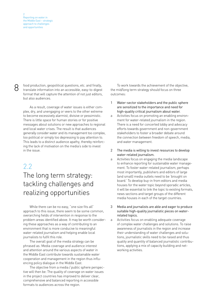<span id="page-7-0"></span>

Solution, geopolitical questions, etc. and finally, To work towards the achievement of the objective, translate information into an accessible, easy-to-digest the mid/long term strategy should focus on three translate information into an accessible, easy-to-digest format that will capture the attention of not just editors, but also audiences.

As a result, coverage of water issues is either complex, dry, and unengaging or veers to the other extreme to become excessively alarmist, divisive or pessimistic. There is little space for human stories or for positive messages about solutions or new approaches to regional and local water crises. The result is that audiences generally consider water and its management too complex, too political or simply too depressing to pay attention to. This leads to a distinct audience apathy, thereby reinforcing the lack of motivation on the media's side to invest in the issue.

## 2.2

# The long term strategy: tackling challenges and realizing opportunities

While there can be no easy, "one size fits all" approach to this issue, there seem to be some common, overarching fields of intervention in response to the problem areas identified above. It may be worth considering these approaches as a way of contributing to an environment that is more conducive to meaningful water-related journalism and helping enable local journalists to fulfil this role.

The overall goal of the media strategy can be phrased as: Media coverage and audience interest and attention around the various aspects of water in the Middle East contribute towards sustainable water cooperation and management in the region thus influencing policy dialogue in the Middle East.

The objective from a media / public sphere perspective will then be: The quality of coverage on water issues in the project countries has improved to deliver clear, comprehensive and balanced reporting in accessible formats to audiences across the region.

the mid/long term strategy should focus on three outcomes:

- 1 Water-sector stakeholders and the public sphere are sensitized to the importance and need for high-quality critical journalism about water.
- a Activities focus on promoting an enabling environment for water-related journalism in the region. There is a need for concerted lobby and advocacy efforts towards government and non-government stakeholders to foster a broader debate around the connection between freedom of speech, media, and water management.
- 2 The media is willing to invest resources to develop water-related journalism.
- a Activities focus on engaging the media landscape to enhance reporting for sustainable water management. To foster water-related journalism, perhaps most importantly, publishers and editors of large (and small) media outlets need to be 'brought on board.' To develop buy-in from editors and media houses for the water topic beyond sporadic articles, it will be essential to link the topic to existing formats, news sections and target groups of the different media houses in each of the target countries.

3 Media and journalists are able and eager to produce suitable high-quality journalistic pieces on waterrelated topics.

a Activities focus on enabling adequate coverage of complex water challenges and solutions. To raise awareness of journalists in the region and increase their understanding of water challenges and solutions, journalistic skills need to be raised and thus quality and quantity of balanced journalistic contributions, applying a mix of capacity building and networking activities.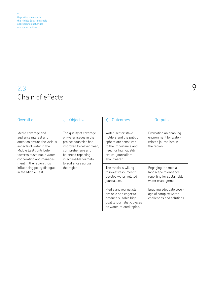<span id="page-8-0"></span>2 Reporting on water in the Middle East – strategic approach to challenges and opportunities

# 2.3 Chain of effects

| Overall goal                                                                                                                                                                                                        | Objective                                                                                                                                                                                           | $\leftarrow$ Outcomes                                                                                                                                           | Outputs                                                                                      |  |  |
|---------------------------------------------------------------------------------------------------------------------------------------------------------------------------------------------------------------------|-----------------------------------------------------------------------------------------------------------------------------------------------------------------------------------------------------|-----------------------------------------------------------------------------------------------------------------------------------------------------------------|----------------------------------------------------------------------------------------------|--|--|
| Media coverage and<br>audience interest and<br>attention around the various<br>aspects of water in the<br>Middle East contribute<br>towards sustainable water<br>cooperation and manage-<br>ment in the region thus | The quality of coverage<br>on water issues in the<br>project countries has<br>improved to deliver clear,<br>comprehensive and<br>balanced reporting<br>in accessible formats<br>to audiences across | Water-sector stake-<br>holders and the public<br>sphere are sensitized<br>to the importance and<br>need for high-quality<br>critical journalism<br>about water. | Promoting an enabling<br>environment for water-<br>related journalism in<br>the region.      |  |  |
| influencing policy dialogue<br>in the Middle East.                                                                                                                                                                  | the region.                                                                                                                                                                                         | The media is willing<br>to invest resources to<br>develop water-related<br>journalism.                                                                          | Engaging the media<br>landscape to enhance<br>reporting for sustainable<br>water management. |  |  |
|                                                                                                                                                                                                                     |                                                                                                                                                                                                     | Media and journalists<br>are able and eager to<br>produce suitable high-<br>quality journalistic pieces<br>on water-related topics.                             | Enabling adequate cover-<br>age of complex water<br>challenges and solutions.                |  |  |

9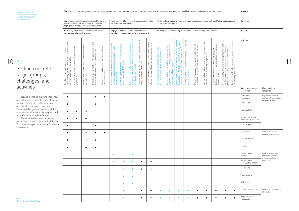<span id="page-9-0"></span>

|       | Reporting on water in<br>the Middle East - strategic<br>approach to challenges                                                                                                                                                                                                                                                                                                                    |                                                                                                                                                      |                                                                |                                                                                                                                                   |                                                                                                    |                                                                                        | The quality of coverage on water issues in the project countries has improved to deliver clear, comprehensive and balanced reporting in accessible formats to audiences across the region. |                                                                                    |                                                     |                                                                                                                                                                                                                                                                                                                                                                                                                                                                                                                                                                                                                                                                                                                                                                                                        |                                                                                                         |                                                                                                      |                                                                                                                   |                                                                                                                                                                                                                            |                                                                                       |            |           |                                                                                               |           |           | Objective                                     |                                                                     |  |
|-------|---------------------------------------------------------------------------------------------------------------------------------------------------------------------------------------------------------------------------------------------------------------------------------------------------------------------------------------------------------------------------------------------------|------------------------------------------------------------------------------------------------------------------------------------------------------|----------------------------------------------------------------|---------------------------------------------------------------------------------------------------------------------------------------------------|----------------------------------------------------------------------------------------------------|----------------------------------------------------------------------------------------|--------------------------------------------------------------------------------------------------------------------------------------------------------------------------------------------|------------------------------------------------------------------------------------|-----------------------------------------------------|--------------------------------------------------------------------------------------------------------------------------------------------------------------------------------------------------------------------------------------------------------------------------------------------------------------------------------------------------------------------------------------------------------------------------------------------------------------------------------------------------------------------------------------------------------------------------------------------------------------------------------------------------------------------------------------------------------------------------------------------------------------------------------------------------------|---------------------------------------------------------------------------------------------------------|------------------------------------------------------------------------------------------------------|-------------------------------------------------------------------------------------------------------------------|----------------------------------------------------------------------------------------------------------------------------------------------------------------------------------------------------------------------------|---------------------------------------------------------------------------------------|------------|-----------|-----------------------------------------------------------------------------------------------|-----------|-----------|-----------------------------------------------|---------------------------------------------------------------------|--|
|       | and opportunities                                                                                                                                                                                                                                                                                                                                                                                 |                                                                                                                                                      |                                                                | Water-sector stakeholders and the public sphere<br>are sensitized to the importance and need for<br>high-quality critical journalism about water. |                                                                                                    |                                                                                        |                                                                                                                                                                                            | water-related journalism.                                                          | The media is willing to invest resources to develop |                                                                                                                                                                                                                                                                                                                                                                                                                                                                                                                                                                                                                                                                                                                                                                                                        |                                                                                                         |                                                                                                      | on water-related topics.                                                                                          |                                                                                                                                                                                                                            |                                                                                       |            |           | Media and journalists are able and eager to produce suitable high-quality journalistic pieces |           |           | Outcomes                                      |                                                                     |  |
| 102.4 |                                                                                                                                                                                                                                                                                                                                                                                                   | Promoting an enabling environment for water-<br>related journalism in the region.                                                                    |                                                                |                                                                                                                                                   |                                                                                                    | Engaging the media landscape to enhance<br>reporting for sustainable water management. |                                                                                                                                                                                            |                                                                                    |                                                     |                                                                                                                                                                                                                                                                                                                                                                                                                                                                                                                                                                                                                                                                                                                                                                                                        | Enabling adequate coverage of complex water challenges and solutions.                                   |                                                                                                      |                                                                                                                   |                                                                                                                                                                                                                            |                                                                                       |            |           |                                                                                               | Outputs   |           |                                               |                                                                     |  |
|       | Getting concrete:<br>target groups,<br>challenges, and                                                                                                                                                                                                                                                                                                                                            | $\overline{\epsilon}$<br>Conduct networking workshops, conference<br>and meetings with journalists, experts, gove<br>and non-government stakeholders | Initiate and fund competitions for water-related<br>journalism | Produce and distribute high quality publications<br>on water issues                                                                               | Invite local government and non-government stake-<br>holders to international environmental events | Capacity building for state / parastatal officials<br>and spokespeople                 | Lobby publishers and editors: Identify incentives<br>and selling propositions for coverage of water-<br>related stories                                                                    | alist<br>with jo<br>Establish a platform to engage<br>editors, experts , NGO scene | edia                                                | Develop high quality training and resource materials<br>('Handbook of Water Reporting in the Middle East',<br>supported by video (YouTube) tutorials, etc.)<br>editors<br>Sponsor internships for local media / journalists with<br>media outlets internationally<br>Sponsor local media / journalists to introduce water<br>stories into international journalistic competitions<br>Lobby for more media coverage and investments<br>in high-quality articles both with water sector, m<br>and development actors<br>Develop platforms to facilitate networking and<br>regional community building among water and<br>environmental journalists<br>Capacity building programs for local media<br>journalists, social media actors, bloggers<br>with loo<br>Create 'tandem' progra<br>or water experts | Provide ongoing editorial support and on-the-job<br>training for water-related journalism in the region | Work with journalists in exile to address topics that<br>are too sensitive locally (corruption etc.) | Sponsor international 'mentorship' programs<br>between local and international science editors /<br>water experts | journalists to paticipate in international<br>events, and international media<br>Sponsor local journalists to paticipate in in<br>environmental events, and international m<br>projects with a focus on water / environent | water-related journalism<br>Fund scholarships for local<br>and investigative research | Activities |           |                                                                                               |           |           |                                               |                                                                     |  |
|       | activities                                                                                                                                                                                                                                                                                                                                                                                        |                                                                                                                                                      |                                                                |                                                                                                                                                   |                                                                                                    |                                                                                        |                                                                                                                                                                                            |                                                                                    |                                                     |                                                                                                                                                                                                                                                                                                                                                                                                                                                                                                                                                                                                                                                                                                                                                                                                        |                                                                                                         |                                                                                                      |                                                                                                                   |                                                                                                                                                                                                                            |                                                                                       |            |           |                                                                                               |           |           | Direct target groups<br>of activities         | Main challenge<br>categories                                        |  |
|       | Having identified the core challenges<br>and defined the chain of effects, the next<br>step was to link the challenges, goals,<br>and objectives to concrete activities. The<br>following table gives an overview of the<br>extensive set of activities being proposed<br>to tackle the outlined challenges.<br>Those activities that are already<br>part of the current project are highlighted. | $\bullet$                                                                                                                                            |                                                                |                                                                                                                                                   | $\bullet$                                                                                          | $\bullet$                                                                              |                                                                                                                                                                                            |                                                                                    |                                                     |                                                                                                                                                                                                                                                                                                                                                                                                                                                                                                                                                                                                                                                                                                                                                                                                        |                                                                                                         |                                                                                                      |                                                                                                                   |                                                                                                                                                                                                                            |                                                                                       |            |           |                                                                                               |           |           | State actors,<br>institutions                 | Repressive context<br>and lack off cooperation<br>between actors    |  |
|       |                                                                                                                                                                                                                                                                                                                                                                                                   | $\bullet$                                                                                                                                            |                                                                |                                                                                                                                                   | $\bullet$                                                                                          |                                                                                        |                                                                                                                                                                                            |                                                                                    |                                                     |                                                                                                                                                                                                                                                                                                                                                                                                                                                                                                                                                                                                                                                                                                                                                                                                        |                                                                                                         |                                                                                                      |                                                                                                                   |                                                                                                                                                                                                                            |                                                                                       |            |           |                                                                                               |           |           | Companies                                     |                                                                     |  |
|       |                                                                                                                                                                                                                                                                                                                                                                                                   |                                                                                                                                                      | $\bullet$                                                      | $\bullet$                                                                                                                                         |                                                                                                    |                                                                                        |                                                                                                                                                                                            |                                                                                    |                                                     |                                                                                                                                                                                                                                                                                                                                                                                                                                                                                                                                                                                                                                                                                                                                                                                                        |                                                                                                         |                                                                                                      |                                                                                                                   |                                                                                                                                                                                                                            |                                                                                       |            |           |                                                                                               |           |           | Media outlets                                 |                                                                     |  |
|       |                                                                                                                                                                                                                                                                                                                                                                                                   |                                                                                                                                                      | $\bullet$                                                      | $\bullet$                                                                                                                                         |                                                                                                    |                                                                                        |                                                                                                                                                                                            |                                                                                    |                                                     |                                                                                                                                                                                                                                                                                                                                                                                                                                                                                                                                                                                                                                                                                                                                                                                                        |                                                                                                         |                                                                                                      |                                                                                                                   |                                                                                                                                                                                                                            |                                                                                       |            |           |                                                                                               |           |           | Journalists, social<br>media actors, bloggers |                                                                     |  |
|       | The other form part of potential follow-up<br>interventions.                                                                                                                                                                                                                                                                                                                                      |                                                                                                                                                      |                                                                |                                                                                                                                                   | $\bullet$                                                                                          |                                                                                        |                                                                                                                                                                                            |                                                                                    |                                                     |                                                                                                                                                                                                                                                                                                                                                                                                                                                                                                                                                                                                                                                                                                                                                                                                        |                                                                                                         |                                                                                                      |                                                                                                                   |                                                                                                                                                                                                                            |                                                                                       |            |           |                                                                                               |           |           | NGOs, experts                                 |                                                                     |  |
|       |                                                                                                                                                                                                                                                                                                                                                                                                   | $\bullet$                                                                                                                                            |                                                                | $\bullet$                                                                                                                                         | $\bullet$                                                                                          | $\bullet$                                                                              |                                                                                                                                                                                            |                                                                                    |                                                     |                                                                                                                                                                                                                                                                                                                                                                                                                                                                                                                                                                                                                                                                                                                                                                                                        |                                                                                                         |                                                                                                      |                                                                                                                   |                                                                                                                                                                                                                            |                                                                                       |            |           |                                                                                               |           |           | Institutions                                  | Lack of access to<br>reliable information                           |  |
|       |                                                                                                                                                                                                                                                                                                                                                                                                   | $\bullet$                                                                                                                                            |                                                                | $\bullet$                                                                                                                                         | $\bullet$                                                                                          |                                                                                        |                                                                                                                                                                                            |                                                                                    |                                                     |                                                                                                                                                                                                                                                                                                                                                                                                                                                                                                                                                                                                                                                                                                                                                                                                        |                                                                                                         |                                                                                                      |                                                                                                                   |                                                                                                                                                                                                                            |                                                                                       |            |           |                                                                                               |           |           | Experts, NGOs                                 |                                                                     |  |
|       |                                                                                                                                                                                                                                                                                                                                                                                                   | $\bullet$                                                                                                                                            |                                                                | $\bullet$                                                                                                                                         | $\bullet$                                                                                          |                                                                                        |                                                                                                                                                                                            |                                                                                    |                                                     |                                                                                                                                                                                                                                                                                                                                                                                                                                                                                                                                                                                                                                                                                                                                                                                                        |                                                                                                         |                                                                                                      |                                                                                                                   |                                                                                                                                                                                                                            |                                                                                       |            |           |                                                                                               |           |           | Media                                         |                                                                     |  |
|       |                                                                                                                                                                                                                                                                                                                                                                                                   |                                                                                                                                                      |                                                                |                                                                                                                                                   |                                                                                                    |                                                                                        |                                                                                                                                                                                            |                                                                                    | $\bullet$                                           |                                                                                                                                                                                                                                                                                                                                                                                                                                                                                                                                                                                                                                                                                                                                                                                                        |                                                                                                         |                                                                                                      |                                                                                                                   |                                                                                                                                                                                                                            |                                                                                       |            |           |                                                                                               |           |           | Media outlets:<br>owners                      | Lack of awareness<br>of the topic, lack of<br>willingness to invest |  |
|       |                                                                                                                                                                                                                                                                                                                                                                                                   |                                                                                                                                                      |                                                                |                                                                                                                                                   |                                                                                                    |                                                                                        | $\bullet$                                                                                                                                                                                  | $\bullet$                                                                          |                                                     | $\bullet$                                                                                                                                                                                                                                                                                                                                                                                                                                                                                                                                                                                                                                                                                                                                                                                              |                                                                                                         |                                                                                                      |                                                                                                                   |                                                                                                                                                                                                                            |                                                                                       |            |           |                                                                                               |           |           | Media outlets:<br>editors, chief editors      | resources                                                           |  |
|       |                                                                                                                                                                                                                                                                                                                                                                                                   |                                                                                                                                                      |                                                                |                                                                                                                                                   |                                                                                                    |                                                                                        |                                                                                                                                                                                            | $\bullet$                                                                          |                                                     | $\bullet$                                                                                                                                                                                                                                                                                                                                                                                                                                                                                                                                                                                                                                                                                                                                                                                              | $\bullet$                                                                                               |                                                                                                      |                                                                                                                   |                                                                                                                                                                                                                            |                                                                                       |            |           |                                                                                               |           |           | Journalists                                   |                                                                     |  |
|       |                                                                                                                                                                                                                                                                                                                                                                                                   |                                                                                                                                                      |                                                                |                                                                                                                                                   |                                                                                                    |                                                                                        |                                                                                                                                                                                            | $\bullet$                                                                          |                                                     |                                                                                                                                                                                                                                                                                                                                                                                                                                                                                                                                                                                                                                                                                                                                                                                                        |                                                                                                         |                                                                                                      |                                                                                                                   |                                                                                                                                                                                                                            |                                                                                       |            |           |                                                                                               |           |           | Water experts                                 |                                                                     |  |
|       |                                                                                                                                                                                                                                                                                                                                                                                                   |                                                                                                                                                      |                                                                |                                                                                                                                                   |                                                                                                    |                                                                                        |                                                                                                                                                                                            | $\bullet$                                                                          | $\bullet$                                           |                                                                                                                                                                                                                                                                                                                                                                                                                                                                                                                                                                                                                                                                                                                                                                                                        |                                                                                                         |                                                                                                      |                                                                                                                   |                                                                                                                                                                                                                            |                                                                                       |            |           |                                                                                               |           |           | NGO sector                                    |                                                                     |  |
|       |                                                                                                                                                                                                                                                                                                                                                                                                   |                                                                                                                                                      |                                                                |                                                                                                                                                   |                                                                                                    |                                                                                        |                                                                                                                                                                                            | $\bullet$                                                                          |                                                     | $\bullet$                                                                                                                                                                                                                                                                                                                                                                                                                                                                                                                                                                                                                                                                                                                                                                                              |                                                                                                         | $\bullet$                                                                                            | $\bullet$                                                                                                         |                                                                                                                                                                                                                            | $\bullet$                                                                             | $\bullet$  | $\bullet$ | - 0                                                                                           | $\bullet$ |           | Journalists, editors                          | Lack of understanding<br>and skills                                 |  |
|       | Blue:<br>Part of the project activities                                                                                                                                                                                                                                                                                                                                                           |                                                                                                                                                      |                                                                |                                                                                                                                                   |                                                                                                    |                                                                                        |                                                                                                                                                                                            |                                                                                    |                                                     | $\bullet$                                                                                                                                                                                                                                                                                                                                                                                                                                                                                                                                                                                                                                                                                                                                                                                              |                                                                                                         | $\bullet$                                                                                            | $\bullet$                                                                                                         |                                                                                                                                                                                                                            | $\bullet$                                                                             | $\bullet$  | $\bullet$ | $\bullet$                                                                                     | $\bullet$ | $\bullet$ | Bloggers, social<br>media actors              |                                                                     |  |

# Getting concrete: target groups, challenges, and activities

# 10 2.4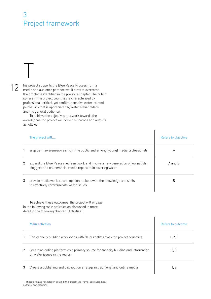# <span id="page-10-0"></span>3 Project framework

# 12

T

his project supports the Blue Peace Process from a media and audience perspective. It aims to overcome the problems identified in the previous chapter. The public sphere in the project countries is characterized by professional, critical, yet conflict-sensitive water-related journalism that is appreciated by water stakeholders and the general audience.

To achieve the objectives and work towards the overall goal, the project will deliver outcomes and outputs as follows:<sup>1</sup>

|                | The project will                                                                                                                                              | Refers to objective |
|----------------|---------------------------------------------------------------------------------------------------------------------------------------------------------------|---------------------|
| 1              | engage in awareness-raising in the public and among (young) media professionals                                                                               | A                   |
| $\mathbf{2}$   | expand the Blue Peace media network and involve a new generation of journalists,<br>bloggers and online/social media reporters in covering water              | A and B             |
| 3              | provide media workers and opinion makers with the knowledge and skills<br>to effectively communicate water issues                                             | B                   |
|                | To achieve these outcomes, the project will engage<br>in the following main activities as discussed in more<br>detail in the following chapter, "Activities": |                     |
|                | <b>Main activities</b>                                                                                                                                        | Refers to outcome   |
| 1              | Five capacity building workshops with 60 journalists from the project countries                                                                               | 1, 2, 3             |
| $\overline{2}$ | Create an online platform as a primary source for capacity building and information<br>on water issues in the region                                          | 2, 3                |
| 3              | Create a publishing and distribution strategy in traditional and online media                                                                                 | 1, 2                |

 $\overline{\phantom{a}}$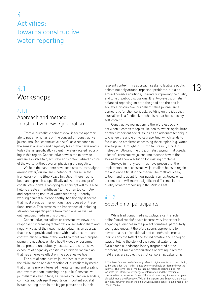# <span id="page-11-0"></span> $\overline{\mathcal{A}}$ Activities: towards constructive water reporting

## 4.1 Workshops

#### 4.1.1

## Approach and method: constructive news / journalism

From a journalistic point of view, it seems appropriate to put an emphasis on the concept of "constructive journalism" (or "constructive news") as a response to the sensationalism and negativity bias of the news media today that is specifically virulent in water-related reporting in this region. Constructive news aims to provide audiences with a fair, accurate and contextualized picture of the world, without overemphasizing the negative.

While in the past there have been several campaigns around water/journalism – notably, of course, in the framework of the Blue Peace Initiative – there has not been an approach to specifically utilize the concept of constructive news. Employing this concept will thus also help to create an "antithesis" to the often too complex and depressing nature of water reporting – thereby working against audience apathy. Additionally, it seems that most previous interventions have focused on traditional media. This stresses the importance of including stakeholders/participants from traditional as well as online/social media in this project.

Constructive journalism or constructive news is a response to increasing tabloidization, sensationalism and negativity bias of the news media today. It is an approach that aims to provide audiences with a fair, accurate and contextualised picture of the world, without over-emphasising the negative. While a healthy dose of pessimism in the press is undoubtedly necessary, the chronic overexposure of negativity constitutes a hidden media bias that has an erosive effect on the societies we live in.

The aim of constructive journalism is to combat the trivialisation and degradation of journalism by media that often is more interested in entertaining and creating controversies than informing the public. Constructive journalism is calm in tone, as it is less focused on scandals, conflicts and outrage. It reports on important societal issues, setting them in the bigger picture and in their

relevant context. This approach seeks to facilitate public debate not only around important problems, but also around possible solutions, ultimately improving the quality and tone of public discussions. It is "two-eyed journalism", balanced reporting on both the good and the bad in society. Constructive journalism takes journalism's democratic function seriously, building on the idea that journalism is a feedback mechanism that helps society self-correct.

Constructive journalism is therefore especially apt when it comes to topics like health, water, agriculture or other important social issues as an adequate technique to change the angle of typical reporting, which tends to focus on the problems concerning these topics (e.g. Water shortage in.., Drought in…, Crop failure in…, Flood in…). Instead of following the old journalist saying, "If it bleeds, it leads", constructive journalism teaches how to find stories that show a solution for existing problems.

Surveys in many countries have proven that the implementation of constructive journalism helps to regain the audience's trust in the media. The method is easy to learn and to adapt for journalists from all levels of experience and will make a significant difference in the quality of water reporting in the Middle East.

## 4.1.2 Selection of participants

While traditional media still plays a central role, online/social media<sup>2</sup> hhave become very important in engaging audiences in the project countries, particularly young audiences. It therefore seems appropriate to advocate a mix of traditional and online/social media (particularly the latter) and to find creative and engaging ways of telling the story of the regional water crisis. Syria's media landscape is very fragmented at the moment, but media organizations operating in regimeheld areas are subject to strict censorship. Lebanon is

2 The term "online media" usually refers to digital media (incl. text, photo, audio, and video) that is distributed over or available on-demand over the Internet. The term "social media" usually refers to technologies that facilitate the interactive exchange of information and the creation of communities or networks. Some of the most commonly known examples of social media are Facebook, Twitter, Instagram, and Snapchat. It should be noted, however, that there is no universal definition of "online media" or "social media".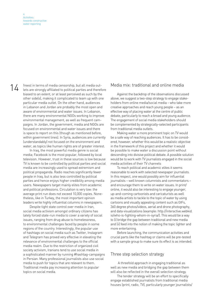14 freest in terms of media censorship, but all media out-Media mix: traditional and online media<br>14 lets are strongly affiliated to political parties and therefore freest in terms of media censorship, but all media outbiased to an extent, or at least perceived as such by the other side(s), making it complicated to team up with one particular media outlet. On the other hand, audiences in Lebanon and Jordan are probably the most open and aware of environmental and water issues. In Lebanon, there are many environmental NGOs working to improve environmental management, as well as frequent campaigns. In Jordan, the government, media and NGOs are focused on environmental and water issues and there is space to report on this (though as mentioned before, within government lines). In Syria, audiences are currently (understandably) not focused on the environment and water, as topics like human rights are of greater interest.

In Iraq, the most powerful media genre is social media; Facebook is the most popular, followed by local television. However, trust in these sources is low because TV is known to be controlled by political parties and social media are increasingly used to spread extremism and political propaganda. Radio reaches significantly fewer people in Iraq, but is also less controlled by political parties and hence enjoys higher credibility among media users. Newspapers target mainly elites from academic and political professions. Circulation is very low: the average print run does not exceed 10,000 copies. Nonetheless, like in Turkey, the most important opinion leaders write highly influential columns in newspapers.

Despite tight state control over media in Iran, social media activism amongst ordinary citizens has lately forced state-run media to cover a variety of social issues, ranging from drug abuse to homelessness, to environmental challenges faced by people in some regions of the country. Interestingly, the popular use of hashtags on social media such as Twitter, Instagram and Telegram has proved very effective in elevating the relevance of environmental challenges to the official media realm. Due to the restriction of organized civil society activism, Iranians tend to use social media in a sophisticated manner by running #hashtag-campaigns in Persian. Many professional journalists also use social media to push for topics that are relevant to them. Traditional media pay increasing attention to popular topics on social media.

Against the backdrop of the observations discussed above, we suggest a two-step strategy to engage stakeholders from online media/social media – who take more creative approaches and reach young people – as an effective way of placing water at the centre of public debate, particularly to reach a broad and young audience. The engagement of social media stakeholders should be complemented by strategically-selected participants from traditional media outlets.

Making water a more prominent topic on TV would be a safe way of reaching audiences. It has to be considered, however, whether this would be a realistic objective in the framework of this project and whether it would be possible to make water a discussion point without descending into divisive political debate. A possible solution would be to work with TV journalists engaged in the social media activities of their TV channels

To reach political and academic elites it seems reasonable to work with selected newspaper journalists. In this respect, one would possibly aim for influential journalists – well known columnists and commentators – and encourage them to write on water issues. In print/ online, it would also be interesting to engage younger, up-and-coming cartoonists and caricaturists as well as media artists to tackle to the topic of water by using cartoons and visually appealing content such as GIFs, 360 degree photos/videos, aerial and drone photography, and data visualizations (example: http://interactive.webkid. io/who-is-fighting-whom-in-syria/). This would be a way to (i) bridge the gap between traditional and new media and (ii) feed into the notion of making the topic lighter and more entertaining.

Before launching, the communication activities and crucial parts like the hashtag or claims will be pre-tested with a sample group to make sure its effect is as intended.

#### Three step selection strategy

 A threefold approach in engaging traditional as well as new media and bridging the gap between them will also be reflected in the overall selection strategy.

The tender strategy will be an effort to specifically engage established journalists from traditional media houses (print, radio, TV), particularly younger journalists/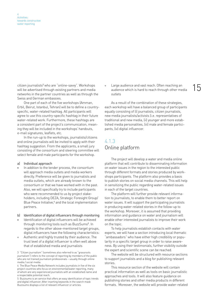<span id="page-13-0"></span>citizen journalists<sup>3</sup> who are "online-savvy". Workshops networks in the partner countries as well as through the Swiss and German embassies.

One part of each of the five workshops (Amman, Erbil, Beirut, Istanbul, Tehran) will be to define a countryspecific, water-related hashtag. All participants will agree to use this country-specific hashtag in their future water-related work. Furthermore, these hashtags are a consistent part of the project's communication, meaning they will be included in the workshops' handouts, e-mail signatures, leaflets, etc.

In the run-up to the workshops, journalists/citizens and online journalists will be invited to apply with their hashtag suggestion. From the applicants, a small jury consisting of the consortium and steering committee will select female and male participants for the workshop.

#### a) Individual approach

- In addition to the tender process, the consortium will approach media outlets and media workers directly. Preference will be given to journalists and media outlets, which are already known to the consortium or that we have worked with in the past. Also, we will specifically try to include participants who were recommended to us by project stakeholders, including DEZA, Strategic Foresight Group/ Blue Peace Initiative,<sup>4</sup> and the local implementation partners.
- b) Identification of digital influencers through monitoring
- Identification of digital influencers will be achieved through monitoring tools such as BuzzSumo<sup>5</sup>. In regards to the other above-mentioned target groups, digital influencers have the following characteristics:
- Authentic and highly trusted by their audience. The trust level of a digital influencer is often well above that of established media and journalists

5 Buzzsumo is an service that offers an easy identification of topic trends and digital influencer. After inserting keywords in the search mask Buzzsumo displays a list of relevant influencer or articles.

citizen journalists<sup>3</sup> who are "online-savvy". Workshops  $\overline{\phantom{a}}$  Large audience and vast reach. Often reaching an  $\overline{\phantom{a}}$ Large audience and vast reach. Often reaching an audience which is hard to reach through other media outlets

> As a result of the combination of these strategies, each workshop will have a balanced group of participants equally consisting of (i) journalists, citizen journalists, new media journalists/activists (i.e. representatives of traditional and new media, (ii) younger and more established media personalities, (iii) male and female participants, (iv) digital influencer.

## 4.1.3 Online platform

The project will develop a water and media online platform that will contribute to disseminating information on water issues in the region to the interested public through different formats and stories produced by workshops participants. The platform also provides a basis to publish stories on social media channels. This will help in sensitizing the public regarding water-related issues in each of the target countries.

The platform will further provide relevant information to journalists, to enable them to better report on water issues. It will support the participating journalists in producing water-related stories in the follow-up to the workshop. Moreover, it is assumed that providing information and guidance on water and journalism will enable other interested journalists to improve their work on the topic.

To help journalists establish contacts with water experts, we will have a section introducing local thematic "ambassadors" who have either high credibility or popularity in a specific target group in order to raise awareness. By using their testimonials, further visibility outside the expert and scientific scene can be reached.

The website will be structured with resource sections to support journalists and a blog for publishing relevant stories.

This resource section of the website will contain practical information as well as tools on basic journalistic approaches and tools. It will also feature guidance on publishing stories and other media products in different formats. Moreover, the website will provide water-related

<sup>3</sup> "Citizen journalism" (sometimes also referred to as "grassroots journalism") refers to the concept of reporting by members of the public who are not trained journalism professionals – usually through online media / social media.

<sup>4</sup> The Blue Peace Media Network includes journalists in five of the six project countries who focus on environmental/water reporting, many of whom are very experienced journalists with an established name and a respectable potential reach.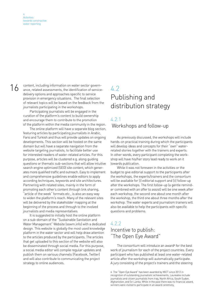<span id="page-14-0"></span>

16 content, including information on water sector govern-<br>16 conce related accordinate the identification of convice ance, related assessments, the identification of servicedelivery options and approaches specific to service provision in emergency situations. The final selection of relevant topics will be based on the feedback from the journalists participating in the workshops.

> Participating journalists will be engaged in the curation of the platform's content to build ownership and encourage them to contribute to the promotion of the platform within the media community in the region.

> The online platform will have a separate blog section, featuring articles by participating journalists in Arabic, Farsi and Turkish and thus will provide updates on ongoing developments. This section will be hosted on the same domain but will have a separate navigation from the website targeting journalists, to facilitate better use for interested readers of water-related articles. For this purpose, articles will be clustered e.g. along guiding questions or thematic sub-sections that will allow intuitive search engine optimized (SEO) site content, which generates more qualified traffic and outreach. Easy to implement and comprehensive guidelines enable editors to apply according techniques, keywords and site architectures. Partnering with related sites, mainly in the form of promoting each other's content through link sharing, "article of the week" formats etc., is also an easy way to widen the platform's reach. Many of the relevant sites will be delivered by the stakeholder mapping at the beginning of the process and through to the involved journalists and media representatives.

> It is suggested to initially host the online platform on a sub-domain of the "Sustainable Sanitation and Water Management" Website (sswm.info) with a dedicated design. This website is globally the most used knowledge platform in the water sector and will help draw attention to the articles produced by the participants. The articles that get uploaded to this section of the website will also be disseminated through social media. For this purpose, a social media editor will compile regular updates and publish them on various channels (Facebook, Twitter) and will also contribute to communicating the project strategy to online audiences.

# 4.2 Publishing and distribution strategy

## 4.2.1

#### Workshops and follow-up

As previously discussed, the workshops will include hands-on practical training during which the participants will develop ideas and concepts for their "own" waterrelated stories together with the trainers and experts. In other words, every participant completing the workshop will have his/her story lead ready to work on it towards publication.

While it was not foreseen in the activities or the budget to give editorial support to the participants after the workshops, the experts/trainers and the consortium will be available for (i) editorial support and (ii) follow-up after the workshops. The first follow-up (a gentle reminder combined with an offer to assist) will be one week after each workshop, the second one about one month after the workshop, the third one about three months after the workshop. The water experts and journalism trainers will also be available to help the participants with specific questions and problems.

## 4.2.2 Incentive to publish: "The Open Eye Award"

The consortium will introduce an award<sup>6</sup> for the best work of journalism for each of the project countries. Every participant who has published at least one water-related article after the workshop will automatically participate. A jury consisting of the project's trainers and the steering

<sup>6</sup> The "Open Eye Award" has been awarded by MiCT since 2012 in recognition of outstanding journalistic achievements. Laureates include journalists and citizen journalists from Iraq, North Africa, South Sudan, Afghanistan, and Sri Lanka. While in the past there was no financial award, winners were invited to participate in an award ceremony.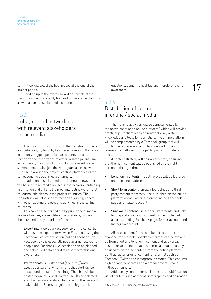<span id="page-15-0"></span>17 committee will select the best pieces at the end of the questions, using the hashtag and therefore raising project period.

Leading up to the overall award an "article of the month" will be prominently featured on the online platform as well as on the social media channels.

#### 4.2.3

## Lobbying and networking with relevant stakeholders in the media

The consortium will, through their existing contacts and networks, try to lobby key media houses in the region to not only suggest potential participants but also to recognize the importance of water-related journalism. In particular, the consortium will lobby relevant media stakeholders to also join the water journalism network being built around the project's online platform and the corresponding social media channels.

In addition to social media, a bi-annual newsletter will be sent to all media houses in the network containing information and links to the most interesting water-related journalistic pieces in the project countries. The consortium will also seek to recognize synergy effects with other existing projects and activities in the partner countries.

This can be also carried out by public social media use involving key stakeholders. For instance, by using these two relatively affordable formats:

- Expert interviews via Facebook Live: The consortium will host one expert interview on Facebook using the Facebook live stream option (called Facebook Live). Facebook Live is especially popular amongst young people and Facebook Live sessions can be planned and scheduled beforehand to raise viewership and awareness.
- Twitter chats: A Twitter chat (see http://www. tweetreports.com/twitter-chat-schedule/) will be hosted under a specific hashtag. The chat will be hosted by an influential Twitter user (to be selected) and discuss water-related topics with other relevant stakeholders. Users can join the dialogue, ask

questions, using the hashtag and therefore raising awareness.

## 4.2.4 Distribution of content in online / social media

The training activities will be complemented by the above-mentioned online platform,<sup>7</sup> which will provide practical journalism learning materials, key water knowledge and tools for journalists. The online platform will be complemented by a Facebook group that will function as a communication tool, networking and community platform for the participating journalists and others.

A content strategy will be implemented, ensuring that the right content will be published by the right person at the right time:

- Long form content: In-depth pieces will be featured on the online platform
- Short form content: small infographics and third party content teasers will be published on the online platform as well as on a corresponding Facebook page and Twitter account
- Snackable content: GIFs, short statements and links to long and short form content will be published on a corresponding Facebook page, Twitter account and Instagram account

All three content forms can be mixed or interchanged. for example, snackable content can be extracted from short and long form content and vice versa. It is important to note that social media should not only be used to distribute content from the online platform but that rather original content for channel such as Facebook, Twitter and Instagram is created. This ensures high engagement rates and a broader overall reach in these channels.

Additionally content for social media should focus on visual content such as videos, infographics and animation